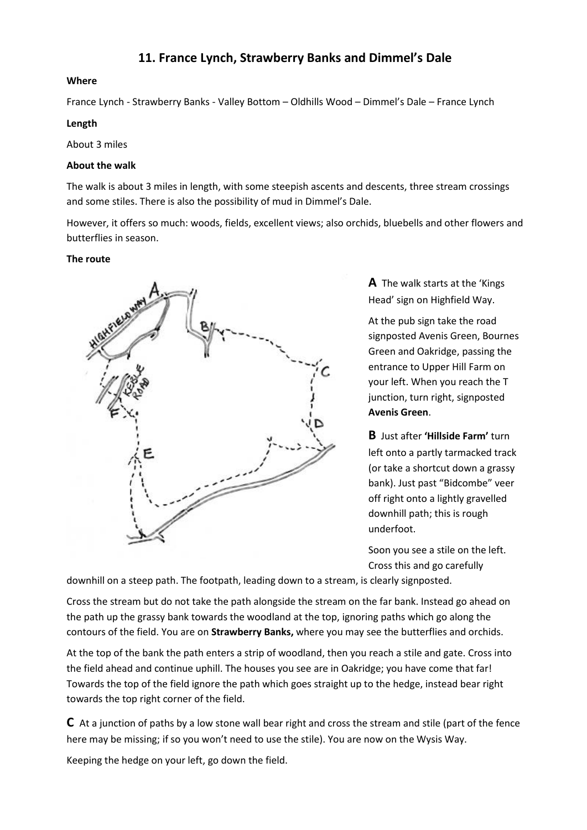# **Where**

France Lynch - Strawberry Banks - Valley Bottom – Oldhills Wood – Dimmel's Dale – France Lynch

### **Length**

About 3 miles

# **About the walk**

The walk is about 3 miles in length, with some steepish ascents and descents, three stream crossings and some stiles. There is also the possibility of mud in Dimmel's Dale.

However, it offers so much: woods, fields, excellent views; also orchids, bluebells and other flowers and butterflies in season.

# **The route**



**A** The walk starts at the 'Kings Head' sign on Highfield Way.

At the pub sign take the road signposted Avenis Green, Bournes Green and Oakridge, passing the entrance to Upper Hill Farm on your left. When you reach the T junction, turn right, signposted **Avenis Green**.

**B** Just after **'Hillside Farm'** turn left onto a partly tarmacked track (or take a shortcut down a grassy bank). Just past "Bidcombe" veer off right onto a lightly gravelled downhill path; this is rough underfoot.

Soon you see a stile on the left. Cross this and go carefully

downhill on a steep path. The footpath, leading down to a stream, is clearly signposted.

Cross the stream but do not take the path alongside the stream on the far bank. Instead go ahead on the path up the grassy bank towards the woodland at the top, ignoring paths which go along the contours of the field. You are on **Strawberry Banks,** where you may see the butterflies and orchids.

At the top of the bank the path enters a strip of woodland, then you reach a stile and gate. Cross into the field ahead and continue uphill. The houses you see are in Oakridge; you have come that far! Towards the top of the field ignore the path which goes straight up to the hedge, instead bear right towards the top right corner of the field.

**C** At a junction of paths by a low stone wall bear right and cross the stream and stile (part of the fence here may be missing; if so you won't need to use the stile). You are now on the Wysis Way.

Keeping the hedge on your left, go down the field.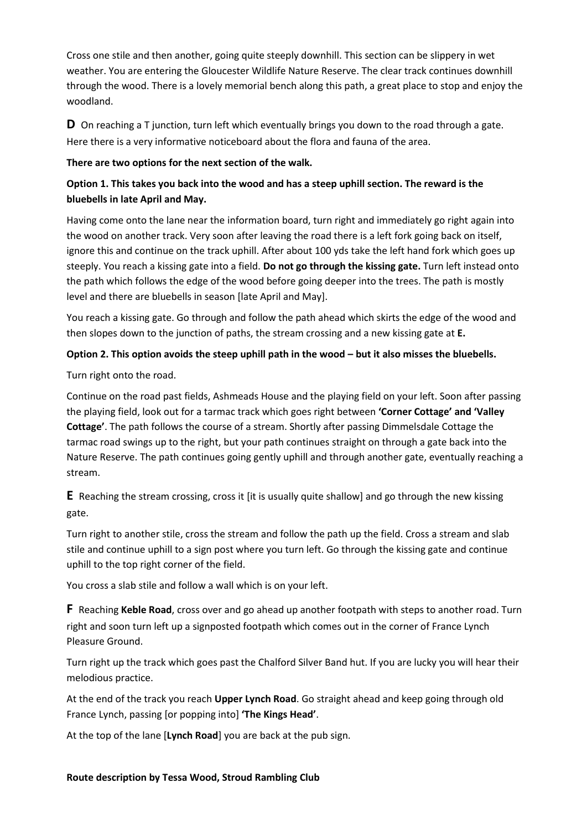Cross one stile and then another, going quite steeply downhill. This section can be slippery in wet weather. You are entering the Gloucester Wildlife Nature Reserve. The clear track continues downhill through the wood. There is a lovely memorial bench along this path, a great place to stop and enjoy the woodland.

**D** On reaching a T junction, turn left which eventually brings you down to the road through a gate. Here there is a very informative noticeboard about the flora and fauna of the area.

# **There are two options for the next section of the walk.**

# **Option 1. This takes you back into the wood and has a steep uphill section. The reward is the bluebells in late April and May.**

Having come onto the lane near the information board, turn right and immediately go right again into the wood on another track. Very soon after leaving the road there is a left fork going back on itself, ignore this and continue on the track uphill. After about 100 yds take the left hand fork which goes up steeply. You reach a kissing gate into a field. **Do not go through the kissing gate.** Turn left instead onto the path which follows the edge of the wood before going deeper into the trees. The path is mostly level and there are bluebells in season [late April and May].

You reach a kissing gate. Go through and follow the path ahead which skirts the edge of the wood and then slopes down to the junction of paths, the stream crossing and a new kissing gate at **E.**

# **Option 2. This option avoids the steep uphill path in the wood – but it also misses the bluebells.**

Turn right onto the road.

Continue on the road past fields, Ashmeads House and the playing field on your left. Soon after passing the playing field, look out for a tarmac track which goes right between **'Corner Cottage' and 'Valley Cottage'**. The path follows the course of a stream. Shortly after passing Dimmelsdale Cottage the tarmac road swings up to the right, but your path continues straight on through a gate back into the Nature Reserve. The path continues going gently uphill and through another gate, eventually reaching a stream.

**E** Reaching the stream crossing, cross it [it is usually quite shallow] and go through the new kissing gate.

Turn right to another stile, cross the stream and follow the path up the field. Cross a stream and slab stile and continue uphill to a sign post where you turn left. Go through the kissing gate and continue uphill to the top right corner of the field.

You cross a slab stile and follow a wall which is on your left.

**F** Reaching **Keble Road**, cross over and go ahead up another footpath with steps to another road. Turn right and soon turn left up a signposted footpath which comes out in the corner of France Lynch Pleasure Ground.

Turn right up the track which goes past the Chalford Silver Band hut. If you are lucky you will hear their melodious practice.

At the end of the track you reach **Upper Lynch Road**. Go straight ahead and keep going through old France Lynch, passing [or popping into] **'The Kings Head'**.

At the top of the lane [**Lynch Road**] you are back at the pub sign.

#### **Route description by Tessa Wood, Stroud Rambling Club**